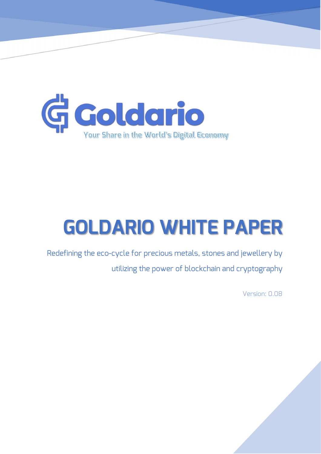

# **GOLDARIO WHITE PAPER**

Redefining the eco-cycle for precious metals, stones and jewellery by utilizing the power of blockchain and cryptography

Version: 0.08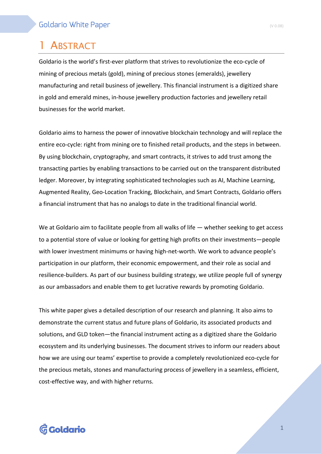# **ABSTRACT**

Goldario is the world's first-ever platform that strives to revolutionize the eco-cycle of mining of precious metals (gold), mining of precious stones (emeralds), jewellery manufacturing and retail business of jewellery. This financial instrument is a digitized share in gold and emerald mines, in-house jewellery production factories and jewellery retail businesses for the world market.

Goldario aims to harness the power of innovative blockchain technology and will replace the entire eco-cycle: right from mining ore to finished retail products, and the steps in between. By using blockchain, cryptography, and smart contracts, it strives to add trust among the transacting parties by enabling transactions to be carried out on the transparent distributed ledger. Moreover, by integrating sophisticated technologies such as AI, Machine Learning, Augmented Reality, Geo-Location Tracking, Blockchain, and Smart Contracts, Goldario offers a financial instrument that has no analogs to date in the traditional financial world.

We at Goldario aim to facilitate people from all walks of life — whether seeking to get access to a potential store of value or looking for getting high profits on their investments—people with lower investment minimums or having high-net-worth. We work to advance people's participation in our platform, their economic empowerment, and their role as social and resilience-builders. As part of our business building strategy, we utilize people full of synergy as our ambassadors and enable them to get lucrative rewards by promoting Goldario.

This white paper gives a detailed description of our research and planning. It also aims to demonstrate the current status and future plans of Goldario, its associated products and solutions, and GLD token—the financial instrument acting as a digitized share the Goldario ecosystem and its underlying businesses. The document strives to inform our readers about how we are using our teams' expertise to provide a completely revolutionized eco-cycle for the precious metals, stones and manufacturing process of jewellery in a seamless, efficient, cost-effective way, and with higher returns.

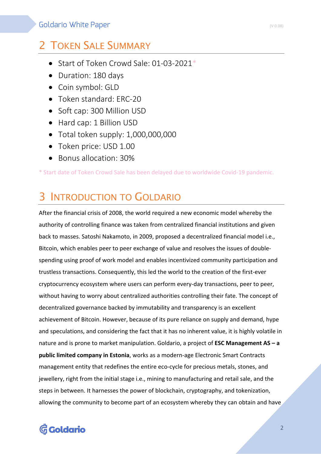# 2 TOKEN SALE SUMMARY

- Start of Token Crowd Sale: 01-03-2021<sup>\*</sup>
- Duration: 180 days
- Coin symbol: GLD
- Token standard: ERC-20
- Soft cap: 300 Million USD
- Hard cap: 1 Billion USD
- Total token supply: 1,000,000,000
- Token price: USD 1.00
- Bonus allocation: 30%

\* Start date of Token Crowd Sale has been delayed due to worldwide Covid-19 pandemic.

# INTRODUCTION TO GOLDARIO

After the financial crisis of 2008, the world required a new economic model whereby the authority of controlling finance was taken from centralized financial institutions and given back to masses. Satoshi Nakamoto, in 2009, proposed a decentralized financial model i.e., Bitcoin, which enables peer to peer exchange of value and resolves the issues of doublespending using proof of work model and enables incentivized community participation and trustless transactions. Consequently, this led the world to the creation of the first-ever cryptocurrency ecosystem where users can perform every-day transactions, peer to peer, without having to worry about centralized authorities controlling their fate. The concept of decentralized governance backed by immutability and transparency is an excellent achievement of Bitcoin. However, because of its pure reliance on supply and demand, hype and speculations, and considering the fact that it has no inherent value, it is highly volatile in nature and is prone to market manipulation. Goldario, a project of **ESC Management AS – a public limited company in Estonia**, works as a modern-age Electronic Smart Contracts management entity that redefines the entire eco-cycle for precious metals, stones, and jewellery, right from the initial stage i.e., mining to manufacturing and retail sale, and the steps in between. It harnesses the power of blockchain, cryptography, and tokenization, allowing the community to become part of an ecosystem whereby they can obtain and have

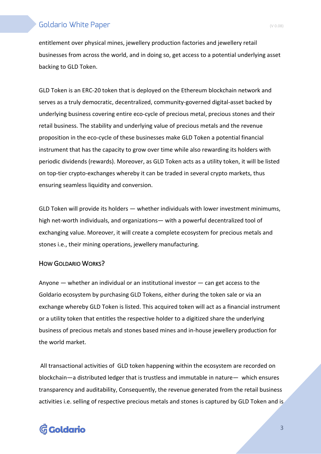entitlement over physical mines, jewellery production factories and jewellery retail businesses from across the world, and in doing so, get access to a potential underlying asset backing to GLD Token.

GLD Token is an ERC-20 token that is deployed on the Ethereum blockchain network and serves as a truly democratic, decentralized, community-governed digital-asset backed by underlying business covering entire eco-cycle of precious metal, precious stones and their retail business. The stability and underlying value of precious metals and the revenue proposition in the eco-cycle of these businesses make GLD Token a potential financial instrument that has the capacity to grow over time while also rewarding its holders with periodic dividends (rewards). Moreover, as GLD Token acts as a utility token, it will be listed on top-tier crypto-exchanges whereby it can be traded in several crypto markets, thus ensuring seamless liquidity and conversion.

GLD Token will provide its holders — whether individuals with lower investment minimums, high net-worth individuals, and organizations— with a powerful decentralized tool of exchanging value. Moreover, it will create a complete ecosystem for precious metals and stones i.e., their mining operations, jewellery manufacturing.

#### HOW GOLDARIO WORKS?

Anyone  $-$  whether an individual or an institutional investor  $-$  can get access to the Goldario ecosystem by purchasing GLD Tokens, either during the token sale or via an exchange whereby GLD Token is listed. This acquired token will act as a financial instrument or a utility token that entitles the respective holder to a digitized share the underlying business of precious metals and stones based mines and in-house jewellery production for the world market.

All transactional activities of GLD token happening within the ecosystem are recorded on blockchain—a distributed ledger that is trustless and immutable in nature— which ensures transparency and auditability, Consequently, the revenue generated from the retail business activities i.e. selling of respective precious metals and stones is captured by GLD Token and is

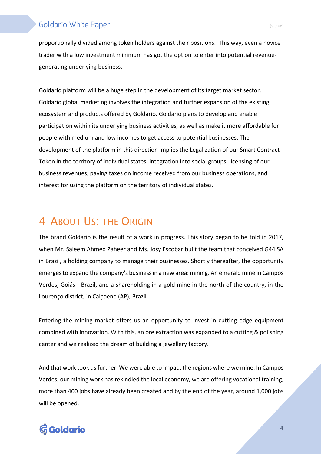proportionally divided among token holders against their positions. This way, even a novice trader with a low investment minimum has got the option to enter into potential revenuegenerating underlying business.

Goldario platform will be a huge step in the development of its target market sector. Goldario global marketing involves the integration and further expansion of the existing ecosystem and products offered by Goldario. Goldario plans to develop and enable participation within its underlying business activities, as well as make it more affordable for people with medium and low incomes to get access to potential businesses. The development of the platform in this direction implies the Legalization of our Smart Contract Token in the territory of individual states, integration into social groups, licensing of our business revenues, paying taxes on income received from our business operations, and interest for using the platform on the territory of individual states.

# 4 ABOUT US: THE ORIGIN

The brand Goldario is the result of a work in progress. This story began to be told in 2017, when Mr. Saleem Ahmed Zaheer and Ms. Josy Escobar built the team that conceived G44 SA in Brazil, a holding company to manage their businesses. Shortly thereafter, the opportunity emerges to expand the company's business in a new area: mining. An emerald mine in Campos Verdes, Goiás - Brazil, and a shareholding in a gold mine in the north of the country, in the Lourenço district, in Calçoene (AP), Brazil.

Entering the mining market offers us an opportunity to invest in cutting edge equipment combined with innovation. With this, an ore extraction was expanded to a cutting & polishing center and we realized the dream of building a jewellery factory.

And that work took us further. We were able to impact the regions where we mine. In Campos Verdes, our mining work has rekindled the local economy, we are offering vocational training, more than 400 jobs have already been created and by the end of the year, around 1,000 jobs will be opened.

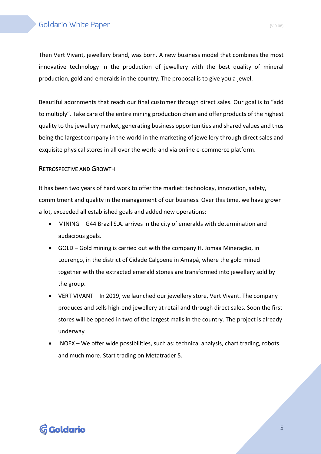Then Vert Vivant, jewellery brand, was born. A new business model that combines the most innovative technology in the production of jewellery with the best quality of mineral production, gold and emeralds in the country. The proposal is to give you a jewel.

Beautiful adornments that reach our final customer through direct sales. Our goal is to "add to multiply". Take care of the entire mining production chain and offer products of the highest quality to the jewellery market, generating business opportunities and shared values and thus being the largest company in the world in the marketing of jewellery through direct sales and exquisite physical stores in all over the world and via online e-commerce platform.

#### RETROSPECTIVE AND GROWTH

It has been two years of hard work to offer the market: technology, innovation, safety, commitment and quality in the management of our business. Over this time, we have grown a lot, exceeded all established goals and added new operations:

- MINING G44 Brazil S.A. arrives in the city of emeralds with determination and audacious goals.
- GOLD Gold mining is carried out with the company H. Jomaa Mineração, in Lourenço, in the district of Cidade Calçoene in Amapá, where the gold mined together with the extracted emerald stones are transformed into jewellery sold by the group.
- VERT VIVANT In 2019, we launched our jewellery store, Vert Vivant. The company produces and sells high-end jewellery at retail and through direct sales. Soon the first stores will be opened in two of the largest malls in the country. The project is already underway
- INOEX We offer wide possibilities, such as: technical analysis, chart trading, robots and much more. Start trading on Metatrader 5.

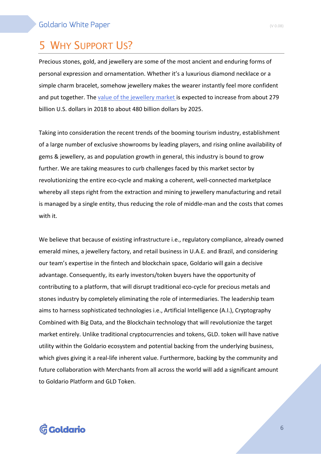# 5 WHY SUPPORT US?

Precious stones, gold, and jewellery are some of the most ancient and enduring forms of personal expression and ornamentation. Whether it's a luxurious diamond necklace or a simple charm bracelet, somehow jewellery makes the wearer instantly feel more confident and put together. The value of the jewellery market is expected to increase from about 279 billion U.S. dollars in 2018 to about 480 billion dollars by 2025.

Taking into consideration the recent trends of the booming tourism industry, establishment of a large number of exclusive showrooms by leading players, and rising online availability of gems & jewellery, as and population growth in general, this industry is bound to grow further. We are taking measures to curb challenges faced by this market sector by revolutionizing the entire eco-cycle and making a coherent, well-connected marketplace whereby all steps right from the extraction and mining to jewellery manufacturing and retail is managed by a single entity, thus reducing the role of middle-man and the costs that comes with it.

We believe that because of existing infrastructure i.e., regulatory compliance, already owned emerald mines, a jewellery factory, and retail business in U.A.E. and Brazil, and considering our team's expertise in the fintech and blockchain space, Goldario will gain a decisive advantage. Consequently, its early investors/token buyers have the opportunity of contributing to a platform, that will disrupt traditional eco-cycle for precious metals and stones industry by completely eliminating the role of intermediaries. The leadership team aims to harness sophisticated technologies i.e., Artificial Intelligence (A.I.), Cryptography Combined with Big Data, and the Blockchain technology that will revolutionize the target market entirely. Unlike traditional cryptocurrencies and tokens, GLD. token will have native utility within the Goldario ecosystem and potential backing from the underlying business, which gives giving it a real-life inherent value. Furthermore, backing by the community and future collaboration with Merchants from all across the world will add a significant amount to Goldario Platform and GLD Token.

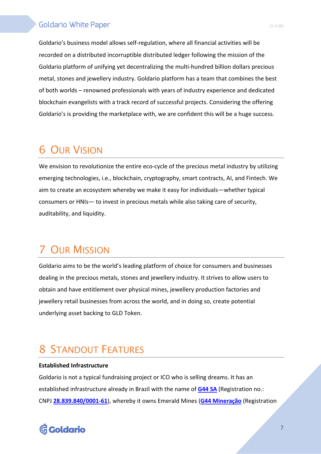Goldario's business model allows self-regulation, where all financial activities will be recorded on a distributed incorruptible distributed ledger following the mission of the Goldario platform of unifying yet decentralizing the multi-hundred billion dollars precious metal, stones and jewellery industry. Goldario platform has a team that combines the best of both worlds – renowned professionals with years of industry experience and dedicated blockchain evangelists with a track record of successful projects. Considering the offering Goldario's is providing the marketplace with, we are confident this will be a huge success.

# 6 OUR VISION

We envision to revolutionize the entire eco-cycle of the precious metal industry by utilizing emerging technologies, i.e., blockchain, cryptography, smart contracts, AI, and Fintech. We aim to create an ecosystem whereby we make it easy for individuals—whether typical consumers or HNIs— to invest in precious metals while also taking care of security, auditability, and liquidity.

# 7 OUR MISSION

Goldario aims to be the world's leading platform of choice for consumers and businesses dealing in the precious metals, stones and jewellery industry. It strives to allow users to obtain and have entitlement over physical mines, jewellery production factories and jewellery retail businesses from across the world, and in doing so, create potential underlying asset backing to GLD Token.

# **STANDOUT FEATURES**

#### **Established Infrastructure**

Goldario is not a typical fundraising project or ICO who is selling dreams. It has an established infrastructure already in Brazil with the name of **G44 SA** (Registration no.: CNPJ **28.839.840/0001-61**), whereby it owns Emerald Mines (**G44 Mineração** (Registration

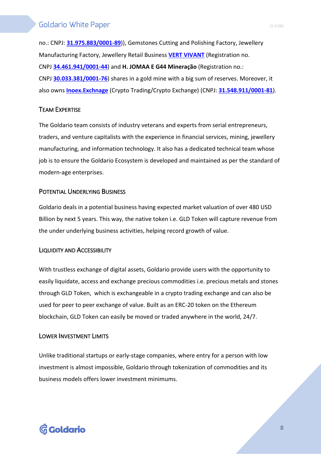no.: CNPJ: **31.975.883/0001-89**)), Gemstones Cutting and Polishing Factory, Jewellery Manufacturing Factory, Jewellery Retail Business **VERT VIVANT** (Registration no. CNPJ **34.461.941/0001-44**) and **H. JOMAA E G44 Mineração** (Registration no.: CNPJ **30.033.381/0001-76**) shares in a gold mine with a big sum of reserves. Moreover, it also owns **Inoex.Exchnage** (Crypto Trading/Crypto Exchange) (CNPJ: **31.548.911/0001-81**).

### TEAM EXPERTISE

The Goldario team consists of industry veterans and experts from serial entrepreneurs, traders, and venture capitalists with the experience in financial services, mining, jewellery manufacturing, and information technology. It also has a dedicated technical team whose job is to ensure the Goldario Ecosystem is developed and maintained as per the standard of modern-age enterprises.

#### POTENTIAL UNDERLYING BUSINESS

Goldario deals in a potential business having expected market valuation of over 480 USD Billion by next 5 years. This way, the native token i.e. GLD Token will capture revenue from the under underlying business activities, helping record growth of value.

#### LIQUIDITY AND ACCESSIBILITY

With trustless exchange of digital assets, Goldario provide users with the opportunity to easily liquidate, access and exchange precious commodities i.e. precious metals and stones through GLD Token, which is exchangeable in a crypto trading exchange and can also be used for peer to peer exchange of value. Built as an ERC-20 token on the Ethereum blockchain, GLD Token can easily be moved or traded anywhere in the world, 24/7.

#### LOWER INVESTMENT LIMITS

Unlike traditional startups or early-stage companies, where entry for a person with low investment is almost impossible, Goldario through tokenization of commodities and its business models offers lower investment minimums.

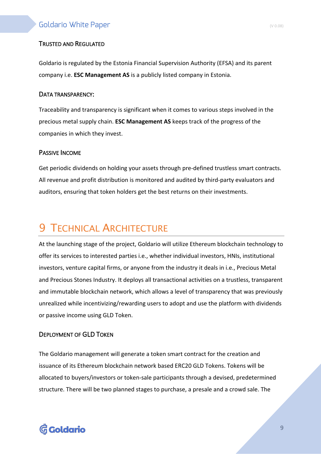#### TRUSTED AND REGULATED

Goldario is regulated by the Estonia Financial Supervision Authority (EFSA) and its parent company i.e. **ESC Management AS** is a publicly listed company in Estonia.

#### DATA TRANSPARENCY:

Traceability and transparency is significant when it comes to various steps involved in the precious metal supply chain. **ESC Management AS** keeps track of the progress of the companies in which they invest.

#### PASSIVE INCOME

Get periodic dividends on holding your assets through pre-defined trustless smart contracts. All revenue and profit distribution is monitored and audited by third-party evaluators and auditors, ensuring that token holders get the best returns on their investments.

# **9 TECHNICAL ARCHITECTURE**

At the launching stage of the project, Goldario will utilize Ethereum blockchain technology to offer its services to interested parties i.e., whether individual investors, HNIs, institutional investors, venture capital firms, or anyone from the industry it deals in i.e., Precious Metal and Precious Stones Industry. It deploys all transactional activities on a trustless, transparent and immutable blockchain network, which allows a level of transparency that was previously unrealized while incentivizing/rewarding users to adopt and use the platform with dividends or passive income using GLD Token.

#### DEPLOYMENT OF GLD TOKEN

The Goldario management will generate a token smart contract for the creation and issuance of its Ethereum blockchain network based ERC20 GLD Tokens. Tokens will be allocated to buyers/investors or token-sale participants through a devised, predetermined structure. There will be two planned stages to purchase, a presale and a crowd sale. The

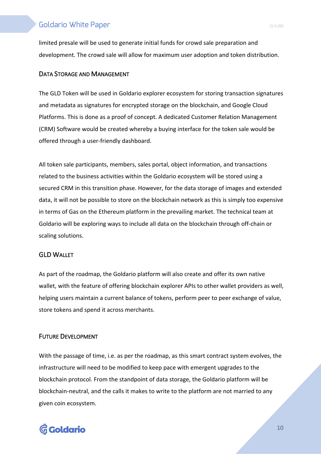limited presale will be used to generate initial funds for crowd sale preparation and development. The crowd sale will allow for maximum user adoption and token distribution.

#### DATA STORAGE AND MANAGEMENT

The GLD Token will be used in Goldario explorer ecosystem for storing transaction signatures and metadata as signatures for encrypted storage on the blockchain, and Google Cloud Platforms. This is done as a proof of concept. A dedicated Customer Relation Management (CRM) Software would be created whereby a buying interface for the token sale would be offered through a user-friendly dashboard.

All token sale participants, members, sales portal, object information, and transactions related to the business activities within the Goldario ecosystem will be stored using a secured CRM in this transition phase. However, for the data storage of images and extended data, it will not be possible to store on the blockchain network as this is simply too expensive in terms of Gas on the Ethereum platform in the prevailing market. The technical team at Goldario will be exploring ways to include all data on the blockchain through off-chain or scaling solutions.

#### GLD WALLET

As part of the roadmap, the Goldario platform will also create and offer its own native wallet, with the feature of offering blockchain explorer APIs to other wallet providers as well, helping users maintain a current balance of tokens, perform peer to peer exchange of value, store tokens and spend it across merchants.

#### FUTURE DEVELOPMENT

With the passage of time, i.e. as per the roadmap, as this smart contract system evolves, the infrastructure will need to be modified to keep pace with emergent upgrades to the blockchain protocol. From the standpoint of data storage, the Goldario platform will be blockchain-neutral, and the calls it makes to write to the platform are not married to any given coin ecosystem.

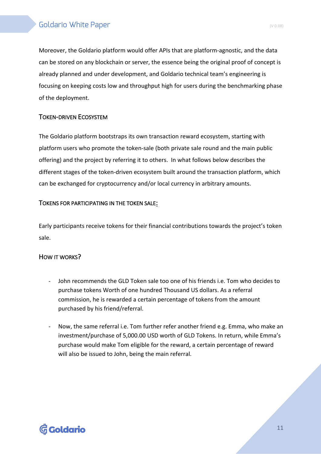Moreover, the Goldario platform would offer APIs that are platform-agnostic, and the data can be stored on any blockchain or server, the essence being the original proof of concept is already planned and under development, and Goldario technical team's engineering is focusing on keeping costs low and throughput high for users during the benchmarking phase of the deployment.

### TOKEN-DRIVEN ECOSYSTEM

The Goldario platform bootstraps its own transaction reward ecosystem, starting with platform users who promote the token-sale (both private sale round and the main public offering) and the project by referring it to others. In what follows below describes the different stages of the token-driven ecosystem built around the transaction platform, which can be exchanged for cryptocurrency and/or local currency in arbitrary amounts.

### TOKENS FOR PARTICIPATING IN THE TOKEN SALE:

Early participants receive tokens for their financial contributions towards the project's token sale.

### HOW IT WORKS?

- John recommends the GLD Token sale too one of his friends i.e. Tom who decides to purchase tokens Worth of one hundred Thousand US dollars. As a referral commission, he is rewarded a certain percentage of tokens from the amount purchased by his friend/referral.
- Now, the same referral i.e. Tom further refer another friend e.g. Emma, who make an investment/purchase of 5,000.00 USD worth of GLD Tokens. In return, while Emma's purchase would make Tom eligible for the reward, a certain percentage of reward will also be issued to John, being the main referral.

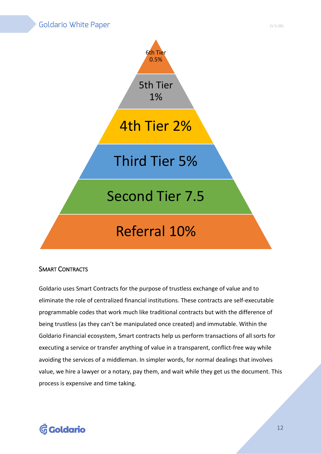

### SMART CONTRACTS

Goldario uses Smart Contracts for the purpose of trustless exchange of value and to eliminate the role of centralized financial institutions. These contracts are self-executable programmable codes that work much like traditional contracts but with the difference of being trustless (as they can't be manipulated once created) and immutable. Within the Goldario Financial ecosystem, Smart contracts help us perform transactions of all sorts for executing a service or transfer anything of value in a transparent, conflict-free way while avoiding the services of a middleman. In simpler words, for normal dealings that involves value, we hire a lawyer or a notary, pay them, and wait while they get us the document. This process is expensive and time taking.

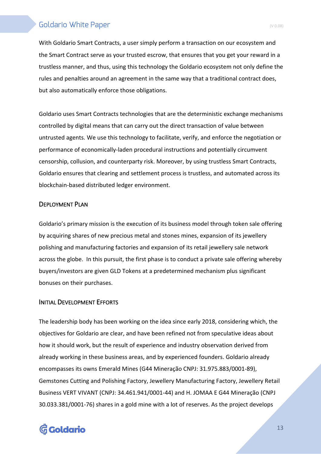With Goldario Smart Contracts, a user simply perform a transaction on our ecosystem and the Smart Contract serve as your trusted escrow, that ensures that you get your reward in a trustless manner, and thus, using this technology the Goldario ecosystem not only define the rules and penalties around an agreement in the same way that a traditional contract does, but also automatically enforce those obligations.

Goldario uses Smart Contracts technologies that are the deterministic exchange mechanisms controlled by digital means that can carry out the direct transaction of value between untrusted agents. We use this technology to facilitate, verify, and enforce the negotiation or performance of economically-laden procedural instructions and potentially circumvent censorship, collusion, and counterparty risk. Moreover, by using trustless Smart Contracts, Goldario ensures that clearing and settlement process is trustless, and automated across its blockchain-based distributed ledger environment.

#### DEPLOYMENT PLAN

Goldario's primary mission is the execution of its business model through token sale offering by acquiring shares of new precious metal and stones mines, expansion of its jewellery polishing and manufacturing factories and expansion of its retail jewellery sale network across the globe. In this pursuit, the first phase is to conduct a private sale offering whereby buyers/investors are given GLD Tokens at a predetermined mechanism plus significant bonuses on their purchases.

#### INITIAL DEVELOPMENT EFFORTS

The leadership body has been working on the idea since early 2018, considering which, the objectives for Goldario are clear, and have been refined not from speculative ideas about how it should work, but the result of experience and industry observation derived from already working in these business areas, and by experienced founders. Goldario already encompasses its owns Emerald Mines (G44 Mineração CNPJ: 31.975.883/0001-89), Gemstones Cutting and Polishing Factory, Jewellery Manufacturing Factory, Jewellery Retail Business VERT VIVANT (CNPJ: 34.461.941/0001-44) and H. JOMAA E G44 Mineração (CNPJ 30.033.381/0001-76) shares in a gold mine with a lot of reserves. As the project develops

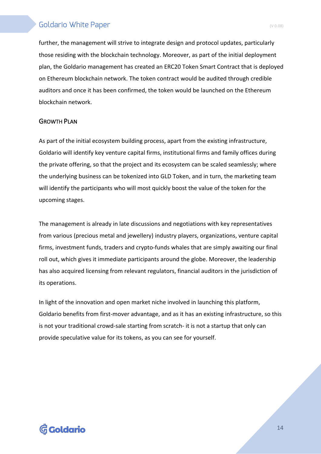further, the management will strive to integrate design and protocol updates, particularly those residing with the blockchain technology. Moreover, as part of the initial deployment plan, the Goldario management has created an ERC20 Token Smart Contract that is deployed on Ethereum blockchain network. The token contract would be audited through credible auditors and once it has been confirmed, the token would be launched on the Ethereum blockchain network.

#### GROWTH PLAN

As part of the initial ecosystem building process, apart from the existing infrastructure, Goldario will identify key venture capital firms, institutional firms and family offices during the private offering, so that the project and its ecosystem can be scaled seamlessly; where the underlying business can be tokenized into GLD Token, and in turn, the marketing team will identify the participants who will most quickly boost the value of the token for the upcoming stages.

The management is already in late discussions and negotiations with key representatives from various (precious metal and jewellery) industry players, organizations, venture capital firms, investment funds, traders and crypto-funds whales that are simply awaiting our final roll out, which gives it immediate participants around the globe. Moreover, the leadership has also acquired licensing from relevant regulators, financial auditors in the jurisdiction of its operations.

In light of the innovation and open market niche involved in launching this platform, Goldario benefits from first-mover advantage, and as it has an existing infrastructure, so this is not your traditional crowd-sale starting from scratch- it is not a startup that only can provide speculative value for its tokens, as you can see for yourself.

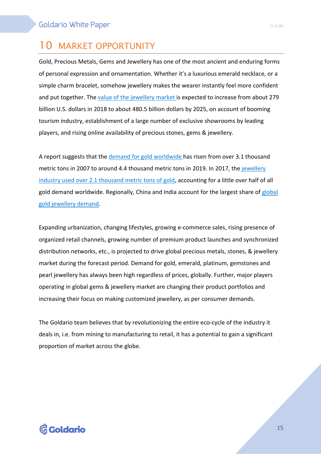# 10 MARKET OPPORTUNITY

Gold, Precious Metals, Gems and Jewellery has one of the most ancient and enduring forms of personal expression and ornamentation. Whether it's a luxurious emerald necklace, or a simple charm bracelet, somehow jewellery makes the wearer instantly feel more confident and put together. The value of the jewellery market is expected to increase from about 279 billion U.S. dollars in 2018 to about 480.5 billion dollars by 2025, on account of booming tourism industry, establishment of a large number of exclusive showrooms by leading players, and rising online availability of precious stones, gems & jewellery.

A report suggests that the demand for gold worldwide has risen from over 3.1 thousand metric tons in 2007 to around 4.4 thousand metric tons in 2019. In 2017, the jewellery industry used over 2.1 thousand metric tons of gold, accounting for a little over half of all gold demand worldwide. Regionally, China and India account for the largest share of global gold jewellery demand.

Expanding urbanization, changing lifestyles, growing e-commerce sales, rising presence of organized retail channels, growing number of premium product launches and synchronized distribution networks, etc., is projected to drive global precious metals, stones, & jewellery market during the forecast period. Demand for gold, emerald, platinum, gemstones and pearl jewellery has always been high regardless of prices, globally. Further, major players operating in global gems & jewellery market are changing their product portfolios and increasing their focus on making customized jewellery, as per consumer demands.

The Goldario team believes that by revolutionizing the entire eco-cycle of the industry it deals in, i.e. from mining to manufacturing to retail, it has a potential to gain a significant proportion of market across the globe.

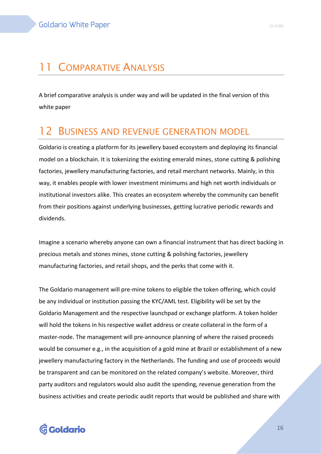A brief comparative analysis is under way and will be updated in the final version of this white paper

# **BUSINESS AND REVENUE GENERATION MODEL**

Goldario is creating a platform for its jewellery based ecosystem and deploying its financial model on a blockchain. It is tokenizing the existing emerald mines, stone cutting & polishing factories, jewellery manufacturing factories, and retail merchant networks. Mainly, in this way, it enables people with lower investment minimums and high net worth individuals or institutional investors alike. This creates an ecosystem whereby the community can benefit from their positions against underlying businesses, getting lucrative periodic rewards and dividends.

Imagine a scenario whereby anyone can own a financial instrument that has direct backing in precious metals and stones mines, stone cutting & polishing factories, jewellery manufacturing factories, and retail shops, and the perks that come with it.

The Goldario management will pre-mine tokens to eligible the token offering, which could be any individual or institution passing the KYC/AML test. Eligibility will be set by the Goldario Management and the respective launchpad or exchange platform. A token holder will hold the tokens in his respective wallet address or create collateral in the form of a master-node. The management will pre-announce planning of where the raised proceeds would be consumer e.g., in the acquisition of a gold mine at Brazil or establishment of a new jewellery manufacturing factory in the Netherlands. The funding and use of proceeds would be transparent and can be monitored on the related company's website. Moreover, third party auditors and regulators would also audit the spending, revenue generation from the business activities and create periodic audit reports that would be published and share with

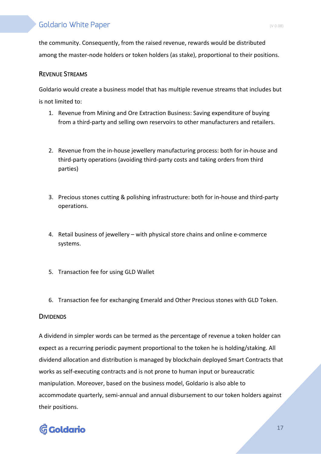the community. Consequently, from the raised revenue, rewards would be distributed among the master-node holders or token holders (as stake), proportional to their positions.

#### REVENUE STREAMS

Goldario would create a business model that has multiple revenue streams that includes but is not limited to:

- 1. Revenue from Mining and Ore Extraction Business: Saving expenditure of buying from a third-party and selling own reservoirs to other manufacturers and retailers.
- 2. Revenue from the in-house jewellery manufacturing process: both for in-house and third-party operations (avoiding third-party costs and taking orders from third parties)
- 3. Precious stones cutting & polishing infrastructure: both for in-house and third-party operations.
- 4. Retail business of jewellery with physical store chains and online e-commerce systems.
- 5. Transaction fee for using GLD Wallet
- 6. Transaction fee for exchanging Emerald and Other Precious stones with GLD Token.

#### **DIVIDENDS**

A dividend in simpler words can be termed as the percentage of revenue a token holder can expect as a recurring periodic payment proportional to the token he is holding/staking. All dividend allocation and distribution is managed by blockchain deployed Smart Contracts that works as self-executing contracts and is not prone to human input or bureaucratic manipulation. Moreover, based on the business model, Goldario is also able to accommodate quarterly, semi-annual and annual disbursement to our token holders against their positions.

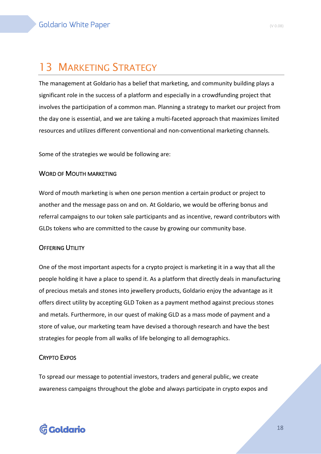# 13 MARKETING STRATEGY

The management at Goldario has a belief that marketing, and community building plays a significant role in the success of a platform and especially in a crowdfunding project that involves the participation of a common man. Planning a strategy to market our project from the day one is essential, and we are taking a multi-faceted approach that maximizes limited resources and utilizes different conventional and non-conventional marketing channels.

Some of the strategies we would be following are:

#### WORD OF MOUTH MARKETING

Word of mouth marketing is when one person mention a certain product or project to another and the message pass on and on. At Goldario, we would be offering bonus and referral campaigns to our token sale participants and as incentive, reward contributors with GLDs tokens who are committed to the cause by growing our community base.

#### **OFFERING UTILITY**

One of the most important aspects for a crypto project is marketing it in a way that all the people holding it have a place to spend it. As a platform that directly deals in manufacturing of precious metals and stones into jewellery products, Goldario enjoy the advantage as it offers direct utility by accepting GLD Token as a payment method against precious stones and metals. Furthermore, in our quest of making GLD as a mass mode of payment and a store of value, our marketing team have devised a thorough research and have the best strategies for people from all walks of life belonging to all demographics.

#### CRYPTO EXPOS

To spread our message to potential investors, traders and general public, we create awareness campaigns throughout the globe and always participate in crypto expos and

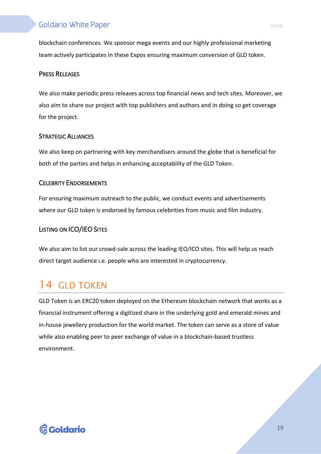blockchain conferences. We sponsor mega events and our highly professional marketing team actively participates in these Expos ensuring maximum conversion of GLD token.

#### PRESS RELEASES

We also make periodic press releases across top financial news and tech sites. Moreover, we also aim to share our project with top publishers and authors and in doing so get coverage for the project.

#### STRATEGIC ALLIANCES

We also keep on partnering with key merchandisers around the globe that is beneficial for both of the parties and helps in enhancing acceptability of the GLD Token.

#### CELEBRITY ENDORSEMENTS

For ensuring maximum outreach to the public, we conduct events and advertisements where our GLD token is endorsed by famous celebrities from music and film industry.

#### LISTING ON ICO/IEO SITES

We also aim to list our crowd-sale across the leading IEO/ICO sites. This will help us reach direct target audience i.e. people who are interested in cryptocurrency.

# 14 GLD TOKEN

GLD Token is an ERC20 token deployed on the Ethereum blockchain network that works as a financial instrument offering a digitized share in the underlying gold and emerald mines and in-house jewellery production for the world market. The token can serve as a store of value while also enabling peer to peer exchange of value in a blockchain-based trustless environment.

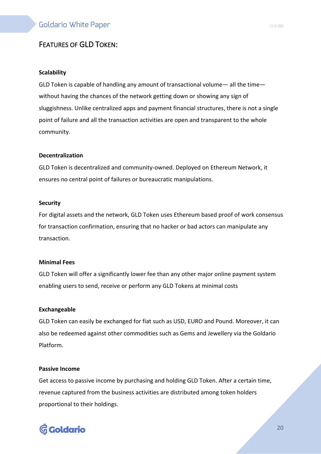# FEATURES OF GLD TOKEN:

#### **Scalability**

GLD Token is capable of handling any amount of transactional volume— all the time without having the chances of the network getting down or showing any sign of sluggishness. Unlike centralized apps and payment financial structures, there is not a single point of failure and all the transaction activities are open and transparent to the whole community.

#### **Decentralization**

GLD Token is decentralized and community-owned. Deployed on Ethereum Network, it ensures no central point of failures or bureaucratic manipulations.

#### **Security**

For digital assets and the network, GLD Token uses Ethereum based proof of work consensus for transaction confirmation, ensuring that no hacker or bad actors can manipulate any transaction.

#### **Minimal Fees**

GLD Token will offer a significantly lower fee than any other major online payment system enabling users to send, receive or perform any GLD Tokens at minimal costs

#### **Exchangeable**

GLD Token can easily be exchanged for fiat such as USD, EURO and Pound. Moreover, it can also be redeemed against other commodities such as Gems and Jewellery via the Goldario Platform.

#### **Passive Income**

Get access to passive income by purchasing and holding GLD Token. After a certain time, revenue captured from the business activities are distributed among token holders proportional to their holdings.

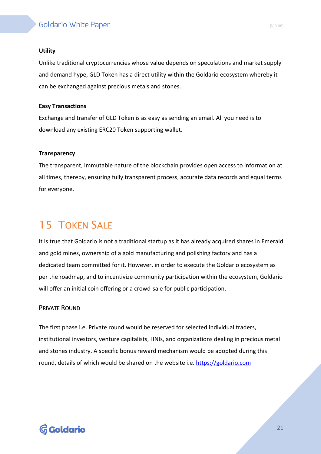#### **Utility**

Unlike traditional cryptocurrencies whose value depends on speculations and market supply and demand hype, GLD Token has a direct utility within the Goldario ecosystem whereby it can be exchanged against precious metals and stones.

#### **Easy Transactions**

Exchange and transfer of GLD Token is as easy as sending an email. All you need is to download any existing ERC20 Token supporting wallet.

#### **Transparency**

The transparent, immutable nature of the blockchain provides open access to information at all times, thereby, ensuring fully transparent process, accurate data records and equal terms for everyone.

# 15 TOKEN SALE

It is true that Goldario is not a traditional startup as it has already acquired shares in Emerald and gold mines, ownership of a gold manufacturing and polishing factory and has a dedicated team committed for it. However, in order to execute the Goldario ecosystem as per the roadmap, and to incentivize community participation within the ecosystem, Goldario will offer an initial coin offering or a crowd-sale for public participation.

#### PRIVATE ROUND

The first phase i.e. Private round would be reserved for selected individual traders, institutional investors, venture capitalists, HNIs, and organizations dealing in precious metal and stones industry. A specific bonus reward mechanism would be adopted during this round, details of which would be shared on the website i.e. https://goldario.com

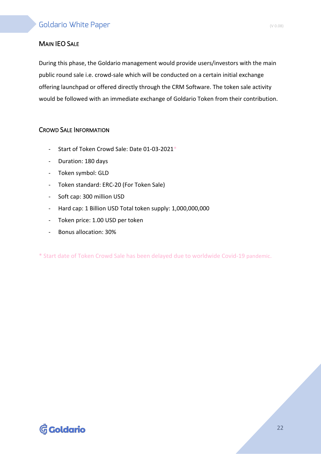### MAIN IEO SALE

During this phase, the Goldario management would provide users/investors with the main public round sale i.e. crowd-sale which will be conducted on a certain initial exchange offering launchpad or offered directly through the CRM Software. The token sale activity would be followed with an immediate exchange of Goldario Token from their contribution.

#### CROWD SALE INFORMATION

- Start of Token Crowd Sale: Date 01-03-2021\*
- Duration: 180 days
- Token symbol: GLD
- Token standard: ERC-20 (For Token Sale)
- Soft cap: 300 million USD
- Hard cap: 1 Billion USD Total token supply: 1,000,000,000
- Token price: 1.00 USD per token
- Bonus allocation: 30%

\* Start date of Token Crowd Sale has been delayed due to worldwide Covid-19 pandemic.

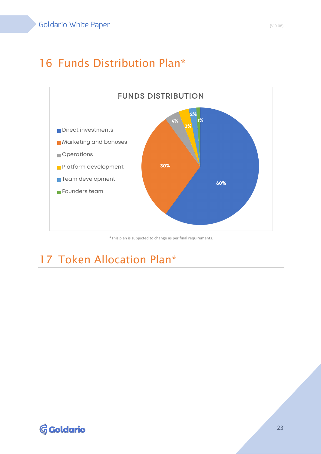# 16 Funds Distribution Plan\*



\*This plan is subjected to change as per final requirements.

# 17 Token Allocation Plan\*

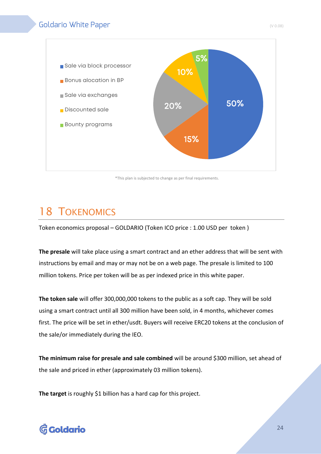

\*This plan is subjected to change as per final requirements.

# 18 TOKENOMICS

Token economics proposal – GOLDARIO (Token ICO price : 1.00 USD per token )

**The presale** will take place using a smart contract and an ether address that will be sent with instructions by email and may or may not be on a web page. The presale is limited to 100 million tokens. Price per token will be as per indexed price in this white paper.

**The token sale** will offer 300,000,000 tokens to the public as a soft cap. They will be sold using a smart contract until all 300 million have been sold, in 4 months, whichever comes first. The price will be set in ether/usdt. Buyers will receive ERC20 tokens at the conclusion of the sale/or immediately during the IEO.

**The minimum raise for presale and sale combined** will be around \$300 million, set ahead of the sale and priced in ether (approximately 03 million tokens).

**The target** is roughly \$1 billion has a hard cap for this project.

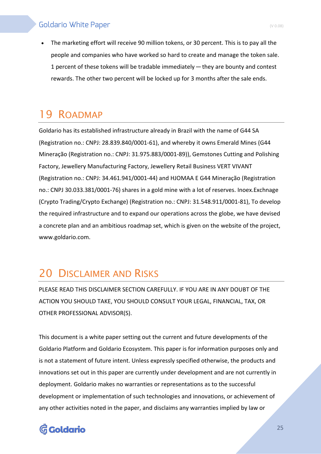• The marketing effort will receive 90 million tokens, or 30 percent. This is to pay all the people and companies who have worked so hard to create and manage the token sale. 1 percent of these tokens will be tradable immediately — they are bounty and contest rewards. The other two percent will be locked up for 3 months after the sale ends.

# 19 ROADMAP

Goldario has its established infrastructure already in Brazil with the name of G44 SA (Registration no.: CNPJ: 28.839.840/0001-61), and whereby it owns Emerald Mines (G44 Mineração (Registration no.: CNPJ: 31.975.883/0001-89)), Gemstones Cutting and Polishing Factory, Jewellery Manufacturing Factory, Jewellery Retail Business VERT VIVANT (Registration no.: CNPJ: 34.461.941/0001-44) and HJOMAA E G44 Mineração (Registration no.: CNPJ 30.033.381/0001-76) shares in a gold mine with a lot of reserves. Inoex.Exchnage (Crypto Trading/Crypto Exchange) (Registration no.: CNPJ: 31.548.911/0001-81), To develop the required infrastructure and to expand our operations across the globe, we have devised a concrete plan and an ambitious roadmap set, which is given on the website of the project, www.goldario.com.

# 20 DISCLAIMER AND RISKS

PLEASE READ THIS DISCLAIMER SECTION CAREFULLY. IF YOU ARE IN ANY DOUBT OF THE ACTION YOU SHOULD TAKE, YOU SHOULD CONSULT YOUR LEGAL, FINANCIAL, TAX, OR OTHER PROFESSIONAL ADVISOR(S).

This document is a white paper setting out the current and future developments of the Goldario Platform and Goldario Ecosystem. This paper is for information purposes only and is not a statement of future intent. Unless expressly specified otherwise, the products and innovations set out in this paper are currently under development and are not currently in deployment. Goldario makes no warranties or representations as to the successful development or implementation of such technologies and innovations, or achievement of any other activities noted in the paper, and disclaims any warranties implied by law or

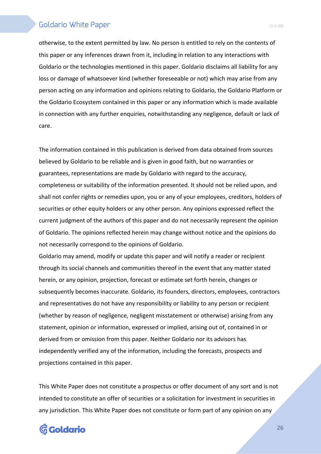otherwise, to the extent permitted by law. No person is entitled to rely on the contents of this paper or any inferences drawn from it, including in relation to any interactions with Goldario or the technologies mentioned in this paper. Goldario disclaims all liability for any loss or damage of whatsoever kind (whether foreseeable or not) which may arise from any person acting on any information and opinions relating to Goldario, the Goldario Platform or the Goldario Ecosystem contained in this paper or any information which is made available in connection with any further enquiries, notwithstanding any negligence, default or lack of care.

The information contained in this publication is derived from data obtained from sources believed by Goldario to be reliable and is given in good faith, but no warranties or guarantees, representations are made by Goldario with regard to the accuracy, completeness or suitability of the information presented. It should not be relied upon, and shall not confer rights or remedies upon, you or any of your employees, creditors, holders of securities or other equity holders or any other person. Any opinions expressed reflect the current judgment of the authors of this paper and do not necessarily represent the opinion of Goldario. The opinions reflected herein may change without notice and the opinions do not necessarily correspond to the opinions of Goldario.

Goldario may amend, modify or update this paper and will notify a reader or recipient through its social channels and communities thereof in the event that any matter stated herein, or any opinion, projection, forecast or estimate set forth herein, changes or subsequently becomes inaccurate. Goldario, its founders, directors, employees, contractors and representatives do not have any responsibility or liability to any person or recipient (whether by reason of negligence, negligent misstatement or otherwise) arising from any statement, opinion or information, expressed or implied, arising out of, contained in or derived from or omission from this paper. Neither Goldario nor its advisors has independently verified any of the information, including the forecasts, prospects and projections contained in this paper.

This White Paper does not constitute a prospectus or offer document of any sort and is not intended to constitute an offer of securities or a solicitation for investment in securities in any jurisdiction. This White Paper does not constitute or form part of any opinion on any

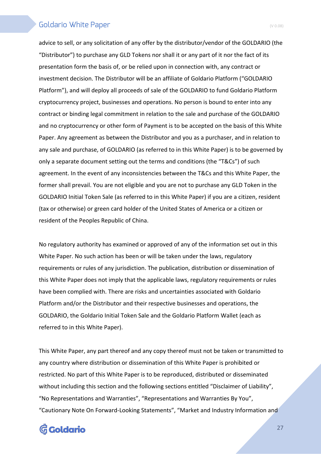advice to sell, or any solicitation of any offer by the distributor/vendor of the GOLDARIO (the "Distributor") to purchase any GLD Tokens nor shall it or any part of it nor the fact of its presentation form the basis of, or be relied upon in connection with, any contract or investment decision. The Distributor will be an affiliate of Goldario Platform ("GOLDARIO Platform"), and will deploy all proceeds of sale of the GOLDARIO to fund Goldario Platform cryptocurrency project, businesses and operations. No person is bound to enter into any contract or binding legal commitment in relation to the sale and purchase of the GOLDARIO and no cryptocurrency or other form of Payment is to be accepted on the basis of this White Paper. Any agreement as between the Distributor and you as a purchaser, and in relation to any sale and purchase, of GOLDARIO (as referred to in this White Paper) is to be governed by only a separate document setting out the terms and conditions (the "T&Cs") of such agreement. In the event of any inconsistencies between the T&Cs and this White Paper, the former shall prevail. You are not eligible and you are not to purchase any GLD Token in the GOLDARIO Initial Token Sale (as referred to in this White Paper) if you are a citizen, resident (tax or otherwise) or green card holder of the United States of America or a citizen or resident of the Peoples Republic of China.

No regulatory authority has examined or approved of any of the information set out in this White Paper. No such action has been or will be taken under the laws, regulatory requirements or rules of any jurisdiction. The publication, distribution or dissemination of this White Paper does not imply that the applicable laws, regulatory requirements or rules have been complied with. There are risks and uncertainties associated with Goldario Platform and/or the Distributor and their respective businesses and operations, the GOLDARIO, the Goldario Initial Token Sale and the Goldario Platform Wallet (each as referred to in this White Paper).

This White Paper, any part thereof and any copy thereof must not be taken or transmitted to any country where distribution or dissemination of this White Paper is prohibited or restricted. No part of this White Paper is to be reproduced, distributed or disseminated without including this section and the following sections entitled "Disclaimer of Liability", "No Representations and Warranties", "Representations and Warranties By You", "Cautionary Note On Forward-Looking Statements", "Market and Industry Information and

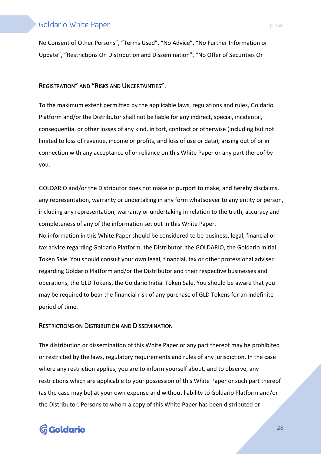No Consent of Other Persons", "Terms Used", "No Advice", "No Further Information or Update", "Restrictions On Distribution and Dissemination", "No Offer of Securities Or

#### REGISTRATION" AND "RISKS AND UNCERTAINTIES".

To the maximum extent permitted by the applicable laws, regulations and rules, Goldario Platform and/or the Distributor shall not be liable for any indirect, special, incidental, consequential or other losses of any kind, in tort, contract or otherwise (including but not limited to loss of revenue, income or profits, and loss of use or data), arising out of or in connection with any acceptance of or reliance on this White Paper or any part thereof by you.

GOLDARIO and/or the Distributor does not make or purport to make, and hereby disclaims, any representation, warranty or undertaking in any form whatsoever to any entity or person, including any representation, warranty or undertaking in relation to the truth, accuracy and completeness of any of the information set out in this White Paper. No information in this White Paper should be considered to be business, legal, financial or tax advice regarding Goldario Platform, the Distributor, the GOLDARIO, the Goldario Initial Token Sale. You should consult your own legal, financial, tax or other professional adviser

regarding Goldario Platform and/or the Distributor and their respective businesses and operations, the GLD Tokens, the Goldario Initial Token Sale. You should be aware that you may be required to bear the financial risk of any purchase of GLD Tokens for an indefinite period of time.

#### RESTRICTIONS ON DISTRIBUTION AND DISSEMINATION

The distribution or dissemination of this White Paper or any part thereof may be prohibited or restricted by the laws, regulatory requirements and rules of any jurisdiction. In the case where any restriction applies, you are to inform yourself about, and to observe, any restrictions which are applicable to your possession of this White Paper or such part thereof (as the case may be) at your own expense and without liability to Goldario Platform and/or the Distributor. Persons to whom a copy of this White Paper has been distributed or